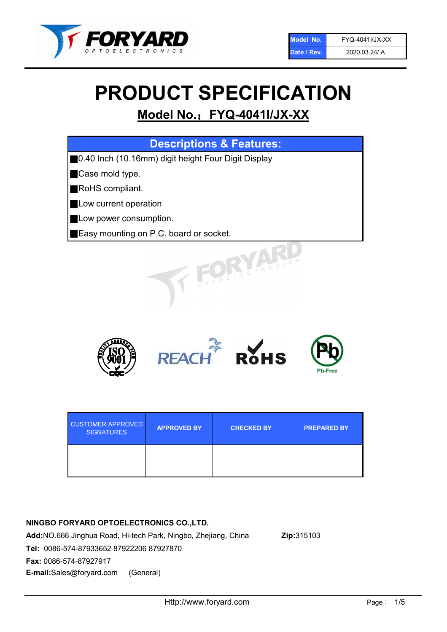

# PRODUCT SPECIFICATION

# Model No.: FYQ-4041I/JX-XX

| <b>Descriptions &amp; Features:</b>                 |
|-----------------------------------------------------|
| 0.40 Inch (10.16mm) digit height Four Digit Display |
| Case mold type.                                     |
| RoHS compliant.                                     |
| Low current operation                               |
| Low power consumption.                              |
| Easy mounting on P.C. board or socket.              |
| FOELECTRONIC.                                       |



| <b>CUSTOMER APPROVED</b><br><b>SIGNATURES</b> | <b>APPROVED BY</b> | <b>CHECKED BY</b> | <b>PREPARED BY</b> |
|-----------------------------------------------|--------------------|-------------------|--------------------|
|                                               |                    |                   |                    |

# NINGBO FORYARD OPTOELECTRONICS CO.,LTD.

Add:NO.666 Jinghua Road, Hi-tech Park, Ningbo, Zhejiang, China Zip:315103 Tel: 0086-574-87933652 87922206 87927870 Fax: 0086-574-87927917 E-mail:Sales@foryard.com (General)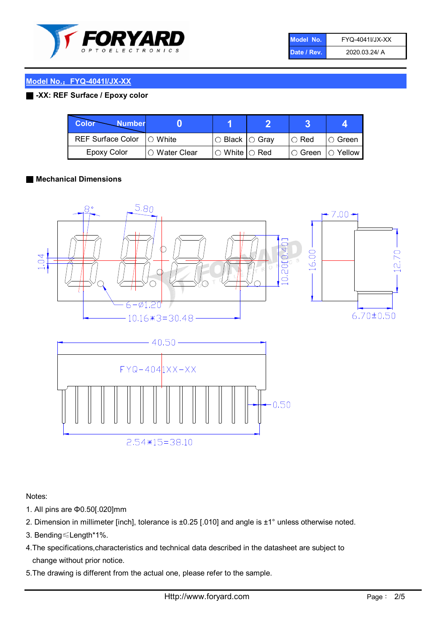

| Model No.   | FYQ-4041I/JX-XX |
|-------------|-----------------|
| Date / Rev. | 2020.03.24/ A   |

#### Model No.:FYQ-4041I/JX-XX

#### ■ -XX: REF Surface / Epoxy color

| Color<br><b>Number</b>      |                |                                                   |             |                |
|-----------------------------|----------------|---------------------------------------------------|-------------|----------------|
| REF Surface Color   O White |                | ○ Black  ○ Gray                                   | $\circ$ Red | $\circ$ Green  |
| Epoxy Color                 | I⊖ Water Clear | $\mathbin{\varcap}$ White $\mathbin{\varcap}$ Red | IO Green∶   | $\circ$ Yellow |

#### ■ Mechanical Dimensions



Notes:

- 1. All pins are Φ0.50[.020]mm
- 2. Dimension in millimeter [inch], tolerance is ±0.25 [.010] and angle is ±1° unless otherwise noted.
- 3. Bending≤Length\*1%.
- 4.The specifications,characteristics and technical data described in the datasheet are subject to change without prior notice.
- 5.The drawing is different from the actual one, please refer to the sample.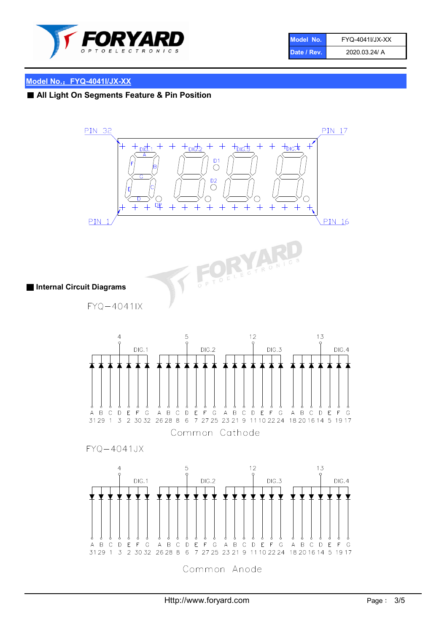

| Model No.   | FYQ-4041I/JX-XX |
|-------------|-----------------|
| Date / Rev. | 2020.03.24/ A   |

#### Model No.:FYQ-4041I/JX-XX

## ■ All Light On Segments Feature & Pin Position

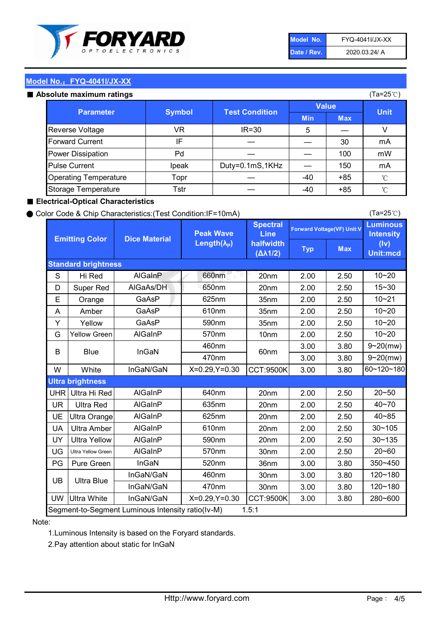

| Model No.   | FYQ-4041I/JX-XX |
|-------------|-----------------|
| Date / Rev. | 2020.03.24/ A   |

(Ta=25℃)

#### Model No.: FYQ-4041I/JX-XX

#### Absolute maximum

| solute maximum ratings       |               |                       |              |            | (Ta=25℃)    |
|------------------------------|---------------|-----------------------|--------------|------------|-------------|
| <b>Parameter</b>             | <b>Symbol</b> | <b>Test Condition</b> | <b>Value</b> |            |             |
|                              |               |                       | <b>Min</b>   | <b>Max</b> | <b>Unit</b> |
| Reverse Voltage              | VR.           | $IR = 30$             | 5            |            | v           |
| <b>Forward Current</b>       | IF            |                       |              | 30         | mA          |
| Power Dissipation            | Pd            |                       |              | 100        | mW          |
| <b>Pulse Current</b>         | Ipeak         | Duty=0.1mS,1KHz       |              | 150        | mA          |
| <b>Operating Temperature</b> | Topr          |                       | $-40$        | $+85$      | °C          |
| Storage Temperature          | Tstr          |                       | -40          | $+85$      | °C          |

#### ■ Electrical-Optical Characteristics

#### ● Color Code & Chip Characteristics:(Test Condition:IF=10mA)

Typ Max S | Hi $\textsf{Red}$  | AlGaInP | 660nm LE 20nm | 2.00 | 2.50 D | Super Red | AIGaAs/DH | 650nm | 20nm | 2.00 | 2.50 E | Orange | GaAsP | 625nm | 35nm | 2.00 | 2.50 A | Amber | GaAsP | 610nm | 35nm | 2.00 | 2.50 Y | Yellow | GaAsP | 590nm | 35nm | 2.00 | 2.50 G Yellow Green AIGaInP | 570nm | 10nm | 2.00 | 2.50 3.00 3.80 3.00 3.80 W | White | InGaN/GaN | X=0.29,Y=0.30 |CCT:9500K| 3.00 | 3.80 UHR Ultra Hi Red | AlGaInP | 640nm | 20nm | 2.00 | 2.50 UR | Ultra Red | AlGaInP | 635nm | 20nm | 2.00 | 2.50 UE Ultra Orange | AIGaInP | 625nm | 20nm | 2.00 | 2.50 UA Ultra Amber | AIGaInP | 610nm | 20nm | 2.00 | 2.50  $UV$  Ultra Yellow  $\vert$  AlGaInP  $\vert$  590nm  $\vert$  20nm  $\vert$  2.00  $\vert$  2.50  $\text{UG}$  Ultra Yellow Green | AIGaInP | 570nm | 30nm | 2.00 | 2.50 PG Pure Green | InGaN | 520nm | 36nm | 3.00 | 3.80 30nm 3.00 3.80 30nm 3.00 3.80 UW |Ultra White | InGaN/GaN | X=0.29,Y=0.30 |CCT:9500K| 3.00 | 3.80 10~20 Standard brightness Forward Voltage(VF) Unit:V 15~30 10~20 10~20 625nm GaAsP 590nm **Emitting Color Dice Material** 10~21 610nm Luminous **Intensity** (Iv) Unit:mcd AlGainP 660nm GaAsP GaAsP AlGaAs/DH **Spectral** Line halfwidth (∆λ1/2) Peak Wave Length $(\lambda_{\rm P})$ UB 460nm 635nm AlGaInP AlGaInP AlGaInP InGaN/GaN AlGaInP | 570nm | 10nm | 2.00 | 2.50 | 10~20 30~105 30~135 460nm 520nm Ultra brightness **AlGaInP** AlGaInP 60nm AlGaInP 640nm Segment-to-Segment Luminous Intensity ratio(Iv-M) 1.5:1 610nm 9~20(mw) 350~450 470nm 120~180 120~180 Ultra Blue InGaN/GaN InGaN/GaN 9~20(mw) 20~50 280~600 570nm | 30nm | 2.00 | 2.50 | 20~60 470nm 590nm InGaN/GaN B Blue I InGaN 40~85 60~120~180 40~70

#### Note:

1.Luminous Intensity is based on the Foryard standards.

2.Pay attention about static for InGaN